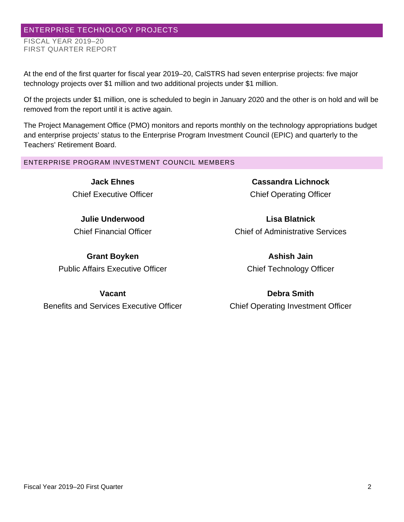# ENTERPRISE TECHNOLOGY PROJECTS

FISCAL YEAR 2019–20 FIRST QUARTER REPORT

At the end of the first quarter for fiscal year 2019–20, CalSTRS had seven enterprise projects: five major technology projects over \$1 million and two additional projects under \$1 million.

Of the projects under \$1 million, one is scheduled to begin in January 2020 and the other is on hold and will be removed from the report until it is active again.

The Project Management Office (PMO) monitors and reports monthly on the technology appropriations budget and enterprise projects' status to the Enterprise Program Investment Council (EPIC) and quarterly to the Teachers' Retirement Board.

ENTERPRISE PROGRAM INVESTMENT COUNCIL MEMBERS

**Jack Ehnes** Chief Executive Officer

**Julie Underwood** Chief Financial Officer

**Grant Boyken** Public Affairs Executive Officer

**Cassandra Lichnock** Chief Operating Officer

**Lisa Blatnick** Chief of Administrative Services

> **Ashish Jain** Chief Technology Officer

**Vacant** Benefits and Services Executive Officer

**Debra Smith** Chief Operating Investment Officer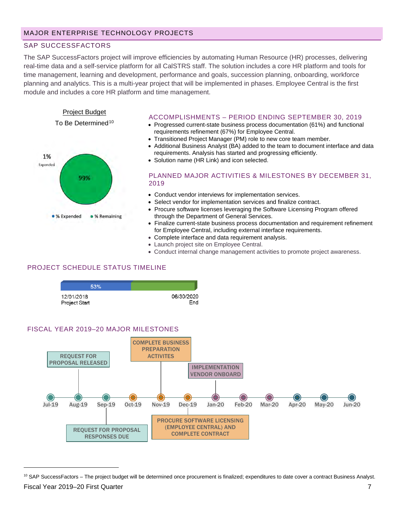# SAP SUCCESSFACTORS

The SAP SuccessFactors project will improve efficiencies by automating Human Resource (HR) processes, delivering real-time data and a self-service platform for all CalSTRS staff. The solution includes a core HR platform and tools for time management, learning and development, performance and goals, succession planning, onboarding, workforce planning and analytics. This is a multi-year project that will be implemented in phases. Employee Central is the first module and includes a core HR platform and time management.



#### ACCOMPLISHMENTS – PERIOD ENDING SEPTEMBER 30, 2019

- Progressed current-state business process documentation (61%) and functional requirements refinement (67%) for Employee Central.
- Transitioned Project Manager (PM) role to new core team member.
- Additional Business Analyst (BA) added to the team to document interface and data requirements. Analysis has started and progressing efficiently.
- Solution name (HR Link) and icon selected.

#### PLANNED MAJOR ACTIVITIES & MILESTONES BY DECEMBER 31, 2019

- Conduct vendor interviews for implementation services.
- Select vendor for implementation services and finalize contract.
- Procure software licenses leveraging the Software Licensing Program offered through the Department of General Services.
- Finalize current-state business process documentation and requirement refinement for Employee Central, including external interface requirements.
- Complete interface and data requirement analysis.
- Launch project site on Employee Central.
- Conduct internal change management activities to promote project awareness.

# PROJECT SCHEDULE STATUS TIMELINE

| 53%           |            |
|---------------|------------|
| 12/01/2018    | 06/30/2020 |
| Project Start | Fnd        |





<span id="page-6-0"></span>Fiscal Year 2019–20 First Quarter 7  $10$  SAP SuccessFactors – The project budget will be determined once procurement is finalized; expenditures to date cover a contract Business Analyst.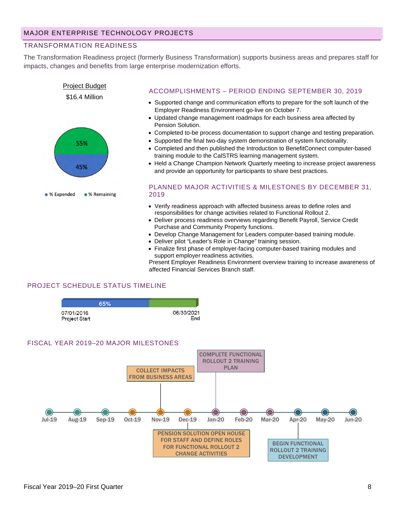# TRANSFORMATION READINESS

The Transformation Readiness project (formerly Business Transformation) supports business areas and prepares staff for impacts, changes and benefits from large enterprise modernization efforts.



### ACCOMPLISHMENTS – PERIOD ENDING SEPTEMBER 30, 2019

- Supported change and communication efforts to prepare for the soft launch of the Employer Readiness Environment go-live on October 7.
- Updated change management roadmaps for each business area affected by Pension Solution.
- Completed to-be process documentation to support change and testing preparation.
- Supported the final two-day system demonstration of system functionality.
- Completed and then published the Introduction to BenefitConnect computer-based training module to the CalSTRS learning management system.
- Held a Change Champion Network Quarterly meeting to increase project awareness and provide an opportunity for participants to share best practices.

#### PLANNED MAJOR ACTIVITIES & MILESTONES BY DECEMBER 31, 2019

- Verify readiness approach with affected business areas to define roles and responsibilities for change activities related to Functional Rollout 2.
- Deliver process readiness overviews regarding Benefit Payroll, Service Credit Purchase and Community Property functions.
- Develop Change Management for Leaders computer-based training module.
- Deliver pilot "Leader's Role in Change" training session.
- Finalize first phase of employer-facing computer-based training modules and support employer readiness activities.

Present Employer Readiness Environment overview training to increase awareness of affected Financial Services Branch staff.

# PROJECT SCHEDULE STATUS TIMELINE

|                             | 65% |                   |
|-----------------------------|-----|-------------------|
| 07/01/2016<br>Project Start |     | 06/30/2021<br>End |

#### FISCAL YEAR 2019–20 MAJOR MILESTONES